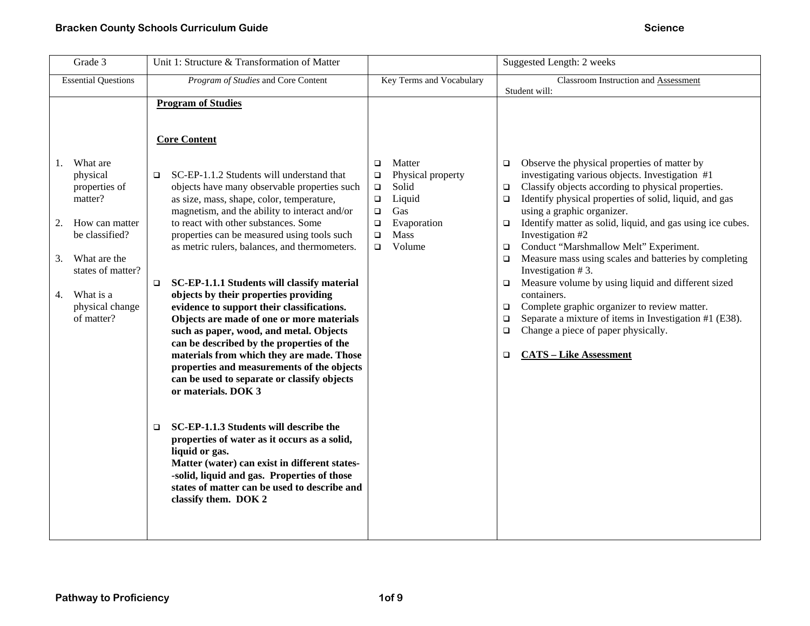| Grade 3                                                                                                                                                                                         | Unit 1: Structure & Transformation of Matter                                                                                                                                                                                                                                                                                                                                                                                                                                                                                                                                                                                                                                                                                                                                                                                                                                                                                                                                                                                                                                                  |                                                                                                                                                                        | Suggested Length: 2 weeks                                                                                                                                                                                                                                                                                                                                                                                                                                                                                                                                                                                                                                                                                                                                                                                          |
|-------------------------------------------------------------------------------------------------------------------------------------------------------------------------------------------------|-----------------------------------------------------------------------------------------------------------------------------------------------------------------------------------------------------------------------------------------------------------------------------------------------------------------------------------------------------------------------------------------------------------------------------------------------------------------------------------------------------------------------------------------------------------------------------------------------------------------------------------------------------------------------------------------------------------------------------------------------------------------------------------------------------------------------------------------------------------------------------------------------------------------------------------------------------------------------------------------------------------------------------------------------------------------------------------------------|------------------------------------------------------------------------------------------------------------------------------------------------------------------------|--------------------------------------------------------------------------------------------------------------------------------------------------------------------------------------------------------------------------------------------------------------------------------------------------------------------------------------------------------------------------------------------------------------------------------------------------------------------------------------------------------------------------------------------------------------------------------------------------------------------------------------------------------------------------------------------------------------------------------------------------------------------------------------------------------------------|
| <b>Essential Questions</b>                                                                                                                                                                      | Program of Studies and Core Content                                                                                                                                                                                                                                                                                                                                                                                                                                                                                                                                                                                                                                                                                                                                                                                                                                                                                                                                                                                                                                                           | Key Terms and Vocabulary                                                                                                                                               | Classroom Instruction and Assessment<br>Student will:                                                                                                                                                                                                                                                                                                                                                                                                                                                                                                                                                                                                                                                                                                                                                              |
|                                                                                                                                                                                                 | <b>Program of Studies</b>                                                                                                                                                                                                                                                                                                                                                                                                                                                                                                                                                                                                                                                                                                                                                                                                                                                                                                                                                                                                                                                                     |                                                                                                                                                                        |                                                                                                                                                                                                                                                                                                                                                                                                                                                                                                                                                                                                                                                                                                                                                                                                                    |
|                                                                                                                                                                                                 | <b>Core Content</b>                                                                                                                                                                                                                                                                                                                                                                                                                                                                                                                                                                                                                                                                                                                                                                                                                                                                                                                                                                                                                                                                           |                                                                                                                                                                        |                                                                                                                                                                                                                                                                                                                                                                                                                                                                                                                                                                                                                                                                                                                                                                                                                    |
| What are<br>1.<br>physical<br>properties of<br>matter?<br>2.<br>How can matter<br>be classified?<br>What are the<br>3.<br>states of matter?<br>What is a<br>4.<br>physical change<br>of matter? | SC-EP-1.1.2 Students will understand that<br>$\Box$<br>objects have many observable properties such<br>as size, mass, shape, color, temperature,<br>magnetism, and the ability to interact and/or<br>to react with other substances. Some<br>properties can be measured using tools such<br>as metric rulers, balances, and thermometers.<br>SC-EP-1.1.1 Students will classify material<br>$\Box$<br>objects by their properties providing<br>evidence to support their classifications.<br>Objects are made of one or more materials<br>such as paper, wood, and metal. Objects<br>can be described by the properties of the<br>materials from which they are made. Those<br>properties and measurements of the objects<br>can be used to separate or classify objects<br>or materials. DOK 3<br>SC-EP-1.1.3 Students will describe the<br>$\Box$<br>properties of water as it occurs as a solid,<br>liquid or gas.<br>Matter (water) can exist in different states-<br>-solid, liquid and gas. Properties of those<br>states of matter can be used to describe and<br>classify them. DOK 2 | Matter<br>$\Box$<br>Physical property<br>$\Box$<br>Solid<br>$\Box$<br>Liquid<br>$\Box$<br>Gas<br>$\Box$<br>Evaporation<br>$\Box$<br>Mass<br>$\Box$<br>Volume<br>$\Box$ | Observe the physical properties of matter by<br>$\Box$<br>investigating various objects. Investigation #1<br>Classify objects according to physical properties.<br>$\Box$<br>Identify physical properties of solid, liquid, and gas<br>$\Box$<br>using a graphic organizer.<br>Identify matter as solid, liquid, and gas using ice cubes.<br>$\Box$<br>Investigation #2<br>Conduct "Marshmallow Melt" Experiment.<br>$\Box$<br>Measure mass using scales and batteries by completing<br>$\Box$<br>Investigation #3.<br>Measure volume by using liquid and different sized<br>$\Box$<br>containers.<br>Complete graphic organizer to review matter.<br>❏<br>Separate a mixture of items in Investigation #1 (E38).<br>$\Box$<br>Change a piece of paper physically.<br>$\Box$<br><b>CATS - Like Assessment</b><br>□ |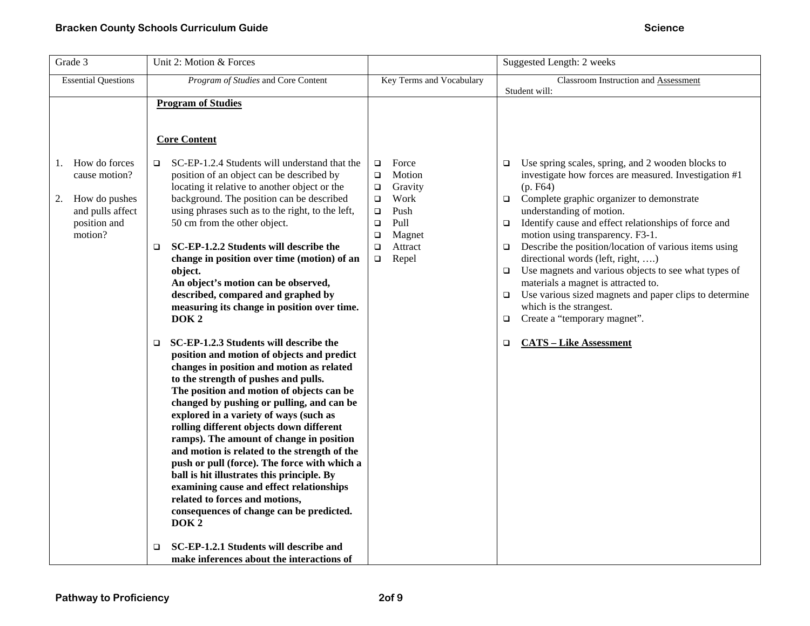| Grade 3                                                                                                    | Unit 2: Motion & Forces                                                                                                                                                                                                                                                                                                                                                                                                                                                                                                                                                                                                                                                                                                                                                                                                                                                                                                                                                                                                                                                                                                                                              |                                                                                                                                                                       | Suggested Length: 2 weeks                                                                                                                                                                                                                                                                                                                                                                                                                                                                                                                                                                                                                                                                                                 |
|------------------------------------------------------------------------------------------------------------|----------------------------------------------------------------------------------------------------------------------------------------------------------------------------------------------------------------------------------------------------------------------------------------------------------------------------------------------------------------------------------------------------------------------------------------------------------------------------------------------------------------------------------------------------------------------------------------------------------------------------------------------------------------------------------------------------------------------------------------------------------------------------------------------------------------------------------------------------------------------------------------------------------------------------------------------------------------------------------------------------------------------------------------------------------------------------------------------------------------------------------------------------------------------|-----------------------------------------------------------------------------------------------------------------------------------------------------------------------|---------------------------------------------------------------------------------------------------------------------------------------------------------------------------------------------------------------------------------------------------------------------------------------------------------------------------------------------------------------------------------------------------------------------------------------------------------------------------------------------------------------------------------------------------------------------------------------------------------------------------------------------------------------------------------------------------------------------------|
| <b>Essential Questions</b>                                                                                 | Program of Studies and Core Content                                                                                                                                                                                                                                                                                                                                                                                                                                                                                                                                                                                                                                                                                                                                                                                                                                                                                                                                                                                                                                                                                                                                  | Key Terms and Vocabulary                                                                                                                                              | Classroom Instruction and Assessment<br>Student will:                                                                                                                                                                                                                                                                                                                                                                                                                                                                                                                                                                                                                                                                     |
| How do forces<br>1.<br>cause motion?<br>How do pushes<br>2.<br>and pulls affect<br>position and<br>motion? | <b>Program of Studies</b><br><b>Core Content</b><br>SC-EP-1.2.4 Students will understand that the<br>$\Box$<br>position of an object can be described by<br>locating it relative to another object or the<br>background. The position can be described<br>using phrases such as to the right, to the left,<br>50 cm from the other object.<br>SC-EP-1.2.2 Students will describe the<br>□<br>change in position over time (motion) of an<br>object.<br>An object's motion can be observed,<br>described, compared and graphed by<br>measuring its change in position over time.<br>DOK <sub>2</sub><br>SC-EP-1.2.3 Students will describe the<br>$\Box$<br>position and motion of objects and predict<br>changes in position and motion as related<br>to the strength of pushes and pulls.<br>The position and motion of objects can be<br>changed by pushing or pulling, and can be<br>explored in a variety of ways (such as<br>rolling different objects down different<br>ramps). The amount of change in position<br>and motion is related to the strength of the<br>push or pull (force). The force with which a<br>ball is hit illustrates this principle. By | Force<br>$\Box$<br>Motion<br>$\Box$<br>Gravity<br>$\Box$<br>Work<br>□<br>Push<br>$\Box$<br>Pull<br>$\Box$<br>Magnet<br>$\Box$<br>Attract<br>$\Box$<br>Repel<br>$\Box$ | Use spring scales, spring, and 2 wooden blocks to<br>$\Box$<br>investigate how forces are measured. Investigation #1<br>(p. F64)<br>$\Box$ Complete graphic organizer to demonstrate<br>understanding of motion.<br>Identify cause and effect relationships of force and<br>$\Box$<br>motion using transparency. F3-1.<br>Describe the position/location of various items using<br>$\Box$<br>directional words (left, right, )<br>Use magnets and various objects to see what types of<br>$\Box$<br>materials a magnet is attracted to.<br>Use various sized magnets and paper clips to determine<br>$\Box$<br>which is the strangest.<br>Create a "temporary magnet".<br>$\Box$<br><b>CATS-Like Assessment</b><br>$\Box$ |
|                                                                                                            | examining cause and effect relationships<br>related to forces and motions,<br>consequences of change can be predicted.<br>DOK <sub>2</sub><br>SC-EP-1.2.1 Students will describe and<br>$\Box$<br>make inferences about the interactions of                                                                                                                                                                                                                                                                                                                                                                                                                                                                                                                                                                                                                                                                                                                                                                                                                                                                                                                          |                                                                                                                                                                       |                                                                                                                                                                                                                                                                                                                                                                                                                                                                                                                                                                                                                                                                                                                           |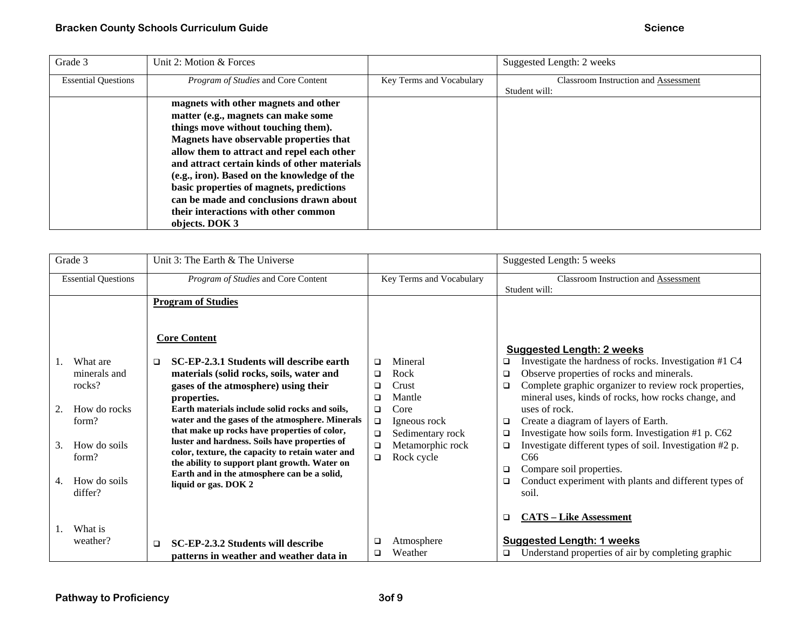| Grade 3                    | Unit 2: Motion & Forces                      |                          | Suggested Length: 2 weeks                   |
|----------------------------|----------------------------------------------|--------------------------|---------------------------------------------|
| <b>Essential Questions</b> | <i>Program of Studies</i> and Core Content   | Key Terms and Vocabulary | <b>Classroom Instruction and Assessment</b> |
|                            |                                              |                          | Student will:                               |
|                            | magnets with other magnets and other         |                          |                                             |
|                            | matter (e.g., magnets can make some          |                          |                                             |
|                            | things move without touching them).          |                          |                                             |
|                            | Magnets have observable properties that      |                          |                                             |
|                            | allow them to attract and repel each other   |                          |                                             |
|                            | and attract certain kinds of other materials |                          |                                             |
|                            | (e.g., iron). Based on the knowledge of the  |                          |                                             |
|                            | basic properties of magnets, predictions     |                          |                                             |
|                            | can be made and conclusions drawn about      |                          |                                             |
|                            | their interactions with other common         |                          |                                             |
|                            | objects. DOK 3                               |                          |                                             |

| Grade 3                                                                                                                           | Unit 3: The Earth & The Universe                                                                                                                                                                                                                                                                                                                                                                                                                                                                                                                                                            |                                                                                                                                                                         | Suggested Length: 5 weeks                                                                                                                                                                                                                                                                                                                                                                                                                                                                                                                                                                                        |
|-----------------------------------------------------------------------------------------------------------------------------------|---------------------------------------------------------------------------------------------------------------------------------------------------------------------------------------------------------------------------------------------------------------------------------------------------------------------------------------------------------------------------------------------------------------------------------------------------------------------------------------------------------------------------------------------------------------------------------------------|-------------------------------------------------------------------------------------------------------------------------------------------------------------------------|------------------------------------------------------------------------------------------------------------------------------------------------------------------------------------------------------------------------------------------------------------------------------------------------------------------------------------------------------------------------------------------------------------------------------------------------------------------------------------------------------------------------------------------------------------------------------------------------------------------|
| <b>Essential Questions</b>                                                                                                        | Program of Studies and Core Content                                                                                                                                                                                                                                                                                                                                                                                                                                                                                                                                                         | Key Terms and Vocabulary                                                                                                                                                | Classroom Instruction and Assessment<br>Student will:                                                                                                                                                                                                                                                                                                                                                                                                                                                                                                                                                            |
| What are<br>minerals and<br>rocks?<br>How do rocks<br>2.<br>form?<br>How do soils<br>3.<br>form?<br>How do soils<br>4.<br>differ? | <b>Program of Studies</b><br><b>Core Content</b><br>SC-EP-2.3.1 Students will describe earth<br>$\Box$<br>materials (solid rocks, soils, water and<br>gases of the atmosphere) using their<br>properties.<br>Earth materials include solid rocks and soils,<br>water and the gases of the atmosphere. Minerals<br>that make up rocks have properties of color,<br>luster and hardness. Soils have properties of<br>color, texture, the capacity to retain water and<br>the ability to support plant growth. Water on<br>Earth and in the atmosphere can be a solid,<br>liquid or gas. DOK 2 | Mineral<br>□<br>Rock<br>❏<br>Crust<br>◻<br>Mantle<br>◻<br>Core<br>□<br>Igneous rock<br>$\Box$<br>Sedimentary rock<br>□<br>Metamorphic rock<br>□<br>Rock cycle<br>$\Box$ | <b>Suggested Length: 2 weeks</b><br>Investigate the hardness of rocks. Investigation #1 C4<br>◻<br>Observe properties of rocks and minerals.<br>$\Box$<br>Complete graphic organizer to review rock properties,<br>$\Box$<br>mineral uses, kinds of rocks, how rocks change, and<br>uses of rock.<br>Create a diagram of layers of Earth.<br>□<br>Investigate how soils form. Investigation #1 p. C62<br>□<br>Investigate different types of soil. Investigation #2 p.<br>$\Box$<br>C <sub>66</sub><br>Compare soil properties.<br>□<br>Conduct experiment with plants and different types of<br>$\Box$<br>soil. |
| What is<br>weather?                                                                                                               | SC-EP-2.3.2 Students will describe<br>$\Box$<br>patterns in weather and weather data in                                                                                                                                                                                                                                                                                                                                                                                                                                                                                                     | Atmosphere<br>❏<br>Weather<br>◻                                                                                                                                         | <b>CATS - Like Assessment</b><br>◻<br><b>Suggested Length: 1 weeks</b><br>Understand properties of air by completing graphic<br>❏                                                                                                                                                                                                                                                                                                                                                                                                                                                                                |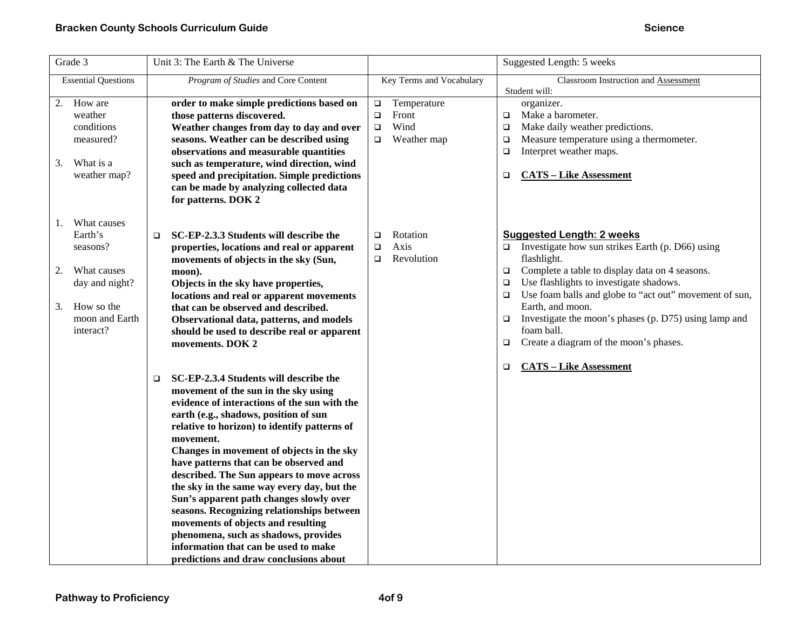| Grade 3                                                                                                                            | Unit 3: The Earth & The Universe                                                                                                                                                                                                                                                                                                                                                                                                                                                                                                                                                                                                                                                          |                                                                                     | Suggested Length: 5 weeks                                                                                                                                                                                                                                                                                                                                                                                                                                   |
|------------------------------------------------------------------------------------------------------------------------------------|-------------------------------------------------------------------------------------------------------------------------------------------------------------------------------------------------------------------------------------------------------------------------------------------------------------------------------------------------------------------------------------------------------------------------------------------------------------------------------------------------------------------------------------------------------------------------------------------------------------------------------------------------------------------------------------------|-------------------------------------------------------------------------------------|-------------------------------------------------------------------------------------------------------------------------------------------------------------------------------------------------------------------------------------------------------------------------------------------------------------------------------------------------------------------------------------------------------------------------------------------------------------|
| <b>Essential Questions</b>                                                                                                         | Program of Studies and Core Content                                                                                                                                                                                                                                                                                                                                                                                                                                                                                                                                                                                                                                                       | Key Terms and Vocabulary                                                            | Classroom Instruction and Assessment<br>Student will:                                                                                                                                                                                                                                                                                                                                                                                                       |
| How are<br>2.<br>weather<br>conditions<br>measured?<br>What is a<br>3.<br>weather map?                                             | order to make simple predictions based on<br>those patterns discovered.<br>Weather changes from day to day and over<br>seasons. Weather can be described using<br>observations and measurable quantities<br>such as temperature, wind direction, wind<br>speed and precipitation. Simple predictions<br>can be made by analyzing collected data<br>for patterns. DOK 2                                                                                                                                                                                                                                                                                                                    | Temperature<br>$\Box$<br>Front<br>$\Box$<br>Wind<br>$\Box$<br>Weather map<br>$\Box$ | organizer.<br>Make a barometer.<br>$\Box$<br>Make daily weather predictions.<br>$\Box$<br>Measure temperature using a thermometer.<br>$\Box$<br>Interpret weather maps.<br>$\Box$<br><b>CATS - Like Assessment</b><br>□                                                                                                                                                                                                                                     |
| What causes<br>1.<br>Earth's<br>seasons?<br>What causes<br>2.<br>day and night?<br>How so the<br>3.<br>moon and Earth<br>interact? | SC-EP-2.3.3 Students will describe the<br>$\Box$<br>properties, locations and real or apparent<br>movements of objects in the sky (Sun,<br>moon).<br>Objects in the sky have properties,<br>locations and real or apparent movements<br>that can be observed and described.<br>Observational data, patterns, and models<br>should be used to describe real or apparent<br>movements. DOK 2                                                                                                                                                                                                                                                                                                | Rotation<br>$\Box$<br>Axis<br>$\Box$<br>Revolution<br>□                             | <b>Suggested Length: 2 weeks</b><br>Investigate how sun strikes Earth (p. D66) using<br>$\Box$<br>flashlight.<br>Complete a table to display data on 4 seasons.<br>$\Box$<br>Use flashlights to investigate shadows.<br>$\Box$<br>Use foam balls and globe to "act out" movement of sun,<br>$\Box$<br>Earth, and moon.<br>Investigate the moon's phases (p. D75) using lamp and<br>$\Box$<br>foam ball.<br>Create a diagram of the moon's phases.<br>$\Box$ |
|                                                                                                                                    | SC-EP-2.3.4 Students will describe the<br>$\Box$<br>movement of the sun in the sky using<br>evidence of interactions of the sun with the<br>earth (e.g., shadows, position of sun<br>relative to horizon) to identify patterns of<br>movement.<br>Changes in movement of objects in the sky<br>have patterns that can be observed and<br>described. The Sun appears to move across<br>the sky in the same way every day, but the<br>Sun's apparent path changes slowly over<br>seasons. Recognizing relationships between<br>movements of objects and resulting<br>phenomena, such as shadows, provides<br>information that can be used to make<br>predictions and draw conclusions about |                                                                                     | <b>CATS - Like Assessment</b><br>$\Box$                                                                                                                                                                                                                                                                                                                                                                                                                     |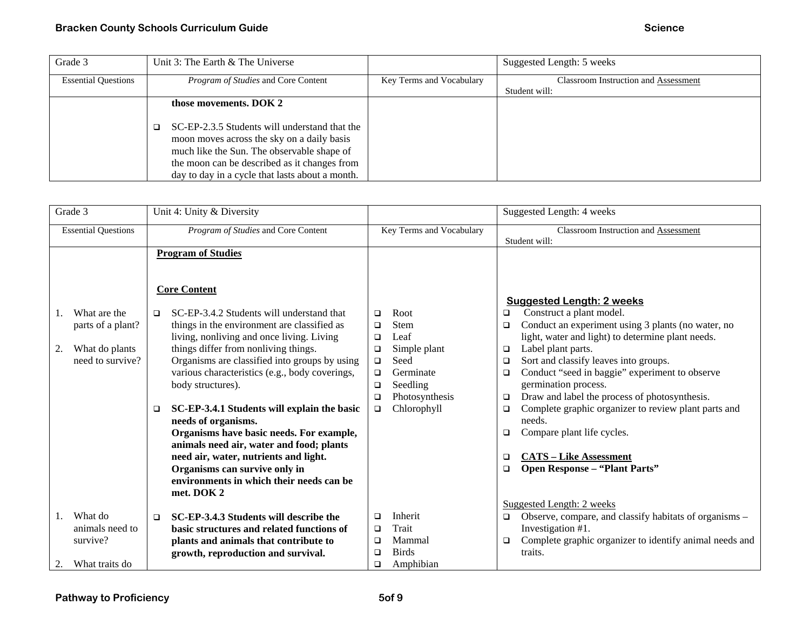| Grade 3                    | Unit 3: The Earth & The Universe                                                                                                                                                                                                             |                          | Suggested Length: 5 weeks                   |
|----------------------------|----------------------------------------------------------------------------------------------------------------------------------------------------------------------------------------------------------------------------------------------|--------------------------|---------------------------------------------|
| <b>Essential Questions</b> | Program of Studies and Core Content                                                                                                                                                                                                          | Key Terms and Vocabulary | <b>Classroom Instruction and Assessment</b> |
|                            |                                                                                                                                                                                                                                              |                          | Student will:                               |
|                            | those movements. DOK 2                                                                                                                                                                                                                       |                          |                                             |
|                            | SC-EP-2.3.5 Students will understand that the<br>moon moves across the sky on a daily basis<br>much like the Sun. The observable shape of<br>the moon can be described as it changes from<br>day to day in a cycle that lasts about a month. |                          |                                             |

| Grade 3                                                                       | Unit 4: Unity & Diversity                                                                                                                                                                                                                                                                                                                                                                                                                                                                                                                                                                                                                                                  |                                                                                                                                                                                   | Suggested Length: 4 weeks                                                                                                                                                                                                                                                                                                                                                                                                                                                                                                                                                                                                                 |
|-------------------------------------------------------------------------------|----------------------------------------------------------------------------------------------------------------------------------------------------------------------------------------------------------------------------------------------------------------------------------------------------------------------------------------------------------------------------------------------------------------------------------------------------------------------------------------------------------------------------------------------------------------------------------------------------------------------------------------------------------------------------|-----------------------------------------------------------------------------------------------------------------------------------------------------------------------------------|-------------------------------------------------------------------------------------------------------------------------------------------------------------------------------------------------------------------------------------------------------------------------------------------------------------------------------------------------------------------------------------------------------------------------------------------------------------------------------------------------------------------------------------------------------------------------------------------------------------------------------------------|
| <b>Essential Questions</b>                                                    | Program of Studies and Core Content                                                                                                                                                                                                                                                                                                                                                                                                                                                                                                                                                                                                                                        | Key Terms and Vocabulary                                                                                                                                                          | <b>Classroom Instruction and Assessment</b><br>Student will:                                                                                                                                                                                                                                                                                                                                                                                                                                                                                                                                                                              |
| What are the<br>parts of a plant?<br>2.<br>What do plants<br>need to survive? | <b>Program of Studies</b><br><b>Core Content</b><br>SC-EP-3.4.2 Students will understand that<br>□<br>things in the environment are classified as<br>living, nonliving and once living. Living<br>things differ from nonliving things.<br>Organisms are classified into groups by using<br>various characteristics (e.g., body coverings,<br>body structures).<br>SC-EP-3.4.1 Students will explain the basic<br>$\Box$<br>needs of organisms.<br>Organisms have basic needs. For example,<br>animals need air, water and food; plants<br>need air, water, nutrients and light.<br>Organisms can survive only in<br>environments in which their needs can be<br>met. DOK 2 | Root<br>□<br>Stem<br>$\Box$<br>Leaf<br>□<br>Simple plant<br>$\Box$<br>Seed<br>$\Box$<br>Germinate<br>□<br>Seedling<br>$\Box$<br>Photosynthesis<br>$\Box$<br>Chlorophyll<br>$\Box$ | <b>Suggested Length: 2 weeks</b><br>Construct a plant model.<br>$\Box$<br>Conduct an experiment using 3 plants (no water, no<br>$\Box$<br>light, water and light) to determine plant needs.<br>Label plant parts.<br>$\Box$<br>Sort and classify leaves into groups.<br>□<br>Conduct "seed in baggie" experiment to observe<br>$\Box$<br>germination process.<br>Draw and label the process of photosynthesis.<br>$\Box$<br>Complete graphic organizer to review plant parts and<br>$\Box$<br>needs.<br>Compare plant life cycles.<br>$\Box$<br><b>CATS – Like Assessment</b><br>$\Box$<br><b>Open Response - "Plant Parts"</b><br>$\Box$ |
| What do<br>1.<br>animals need to<br>survive?<br>What traits do<br>2.          | SC-EP-3.4.3 Students will describe the<br>$\Box$<br>basic structures and related functions of<br>plants and animals that contribute to<br>growth, reproduction and survival.                                                                                                                                                                                                                                                                                                                                                                                                                                                                                               | Inherit<br>□<br>Trait<br>$\Box$<br>Mammal<br>□<br><b>Birds</b><br>$\Box$<br>Amphibian<br>□                                                                                        | Suggested Length: 2 weeks<br>Observe, compare, and classify habitats of organisms -<br>$\Box$<br>Investigation #1.<br>Complete graphic organizer to identify animal needs and<br>$\Box$<br>traits.                                                                                                                                                                                                                                                                                                                                                                                                                                        |
|                                                                               |                                                                                                                                                                                                                                                                                                                                                                                                                                                                                                                                                                                                                                                                            |                                                                                                                                                                                   |                                                                                                                                                                                                                                                                                                                                                                                                                                                                                                                                                                                                                                           |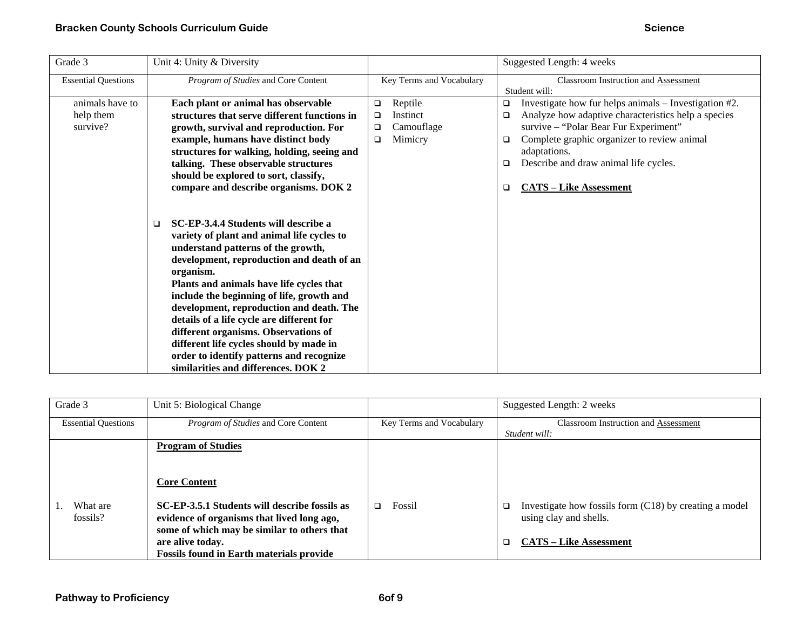| Grade 3                                  | Unit 4: Unity & Diversity                                                                                                                                                                                                                                                                                                                                                                                                                                                                                                                            |                                                                                 | Suggested Length: 4 weeks                                                                                                                                                                                                                                                                                                                   |
|------------------------------------------|------------------------------------------------------------------------------------------------------------------------------------------------------------------------------------------------------------------------------------------------------------------------------------------------------------------------------------------------------------------------------------------------------------------------------------------------------------------------------------------------------------------------------------------------------|---------------------------------------------------------------------------------|---------------------------------------------------------------------------------------------------------------------------------------------------------------------------------------------------------------------------------------------------------------------------------------------------------------------------------------------|
| <b>Essential Questions</b>               | Program of Studies and Core Content                                                                                                                                                                                                                                                                                                                                                                                                                                                                                                                  | Key Terms and Vocabulary                                                        | <b>Classroom Instruction and Assessment</b><br>Student will:                                                                                                                                                                                                                                                                                |
| animals have to<br>help them<br>survive? | Each plant or animal has observable<br>structures that serve different functions in<br>growth, survival and reproduction. For<br>example, humans have distinct body<br>structures for walking, holding, seeing and<br>talking. These observable structures<br>should be explored to sort, classify,<br>compare and describe organisms. DOK 2                                                                                                                                                                                                         | Reptile<br>$\Box$<br>Instinct<br>□<br>Camouflage<br>$\Box$<br>Mimicry<br>$\Box$ | Investigate how fur helps animals – Investigation #2.<br>$\Box$<br>Analyze how adaptive characteristics help a species<br>$\Box$<br>survive – "Polar Bear Fur Experiment"<br>Complete graphic organizer to review animal<br>$\Box$<br>adaptations.<br>Describe and draw animal life cycles.<br>$\Box$<br><b>CATS - Like Assessment</b><br>□ |
|                                          | SC-EP-3.4.4 Students will describe a<br>$\Box$<br>variety of plant and animal life cycles to<br>understand patterns of the growth,<br>development, reproduction and death of an<br>organism.<br>Plants and animals have life cycles that<br>include the beginning of life, growth and<br>development, reproduction and death. The<br>details of a life cycle are different for<br>different organisms. Observations of<br>different life cycles should by made in<br>order to identify patterns and recognize<br>similarities and differences. DOK 2 |                                                                                 |                                                                                                                                                                                                                                                                                                                                             |

| Grade 3                    | Unit 5: Biological Change                       |                          | Suggested Length: 2 weeks                                     |
|----------------------------|-------------------------------------------------|--------------------------|---------------------------------------------------------------|
| <b>Essential Questions</b> | <i>Program of Studies</i> and Core Content      | Key Terms and Vocabulary | <b>Classroom Instruction and Assessment</b>                   |
|                            |                                                 |                          | Student will:                                                 |
|                            | <b>Program of Studies</b>                       |                          |                                                               |
|                            | <b>Core Content</b>                             |                          |                                                               |
| What are                   | SC-EP-3.5.1 Students will describe fossils as   | Fossil<br>◻              | Investigate how fossils form $(C18)$ by creating a model<br>□ |
| fossils?                   | evidence of organisms that lived long ago,      |                          | using clay and shells.                                        |
|                            | some of which may be similar to others that     |                          |                                                               |
|                            | are alive today.                                |                          | <b>CATS – Like Assessment</b><br>□                            |
|                            | <b>Fossils found in Earth materials provide</b> |                          |                                                               |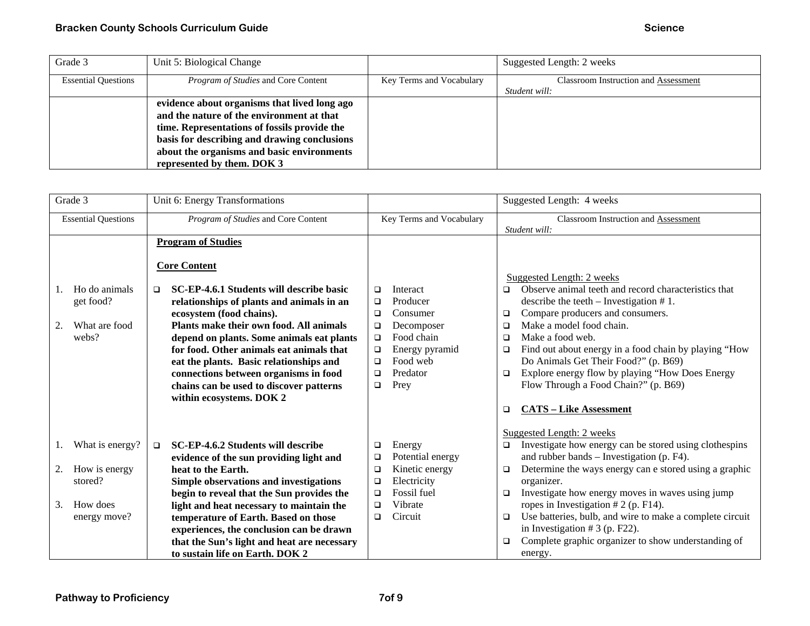| Grade 3                    | Unit 5: Biological Change                    |                          | Suggested Length: 2 weeks                   |
|----------------------------|----------------------------------------------|--------------------------|---------------------------------------------|
| <b>Essential Questions</b> | <i>Program of Studies</i> and Core Content   | Key Terms and Vocabulary | <b>Classroom Instruction and Assessment</b> |
|                            |                                              |                          | Student will:                               |
|                            | evidence about organisms that lived long ago |                          |                                             |
|                            | and the nature of the environment at that    |                          |                                             |
|                            | time. Representations of fossils provide the |                          |                                             |
|                            | basis for describing and drawing conclusions |                          |                                             |
|                            | about the organisms and basic environments   |                          |                                             |
|                            | represented by them. DOK 3                   |                          |                                             |

| Grade 3                                                    | Unit 6: Energy Transformations                                                                                                                                                                                                                                                                                                                                                                                                                                                 |                                                                                                                                                                                                | Suggested Length: 4 weeks                                                                                                                                                                                                                                                                                                                                                                                                                                                                                           |
|------------------------------------------------------------|--------------------------------------------------------------------------------------------------------------------------------------------------------------------------------------------------------------------------------------------------------------------------------------------------------------------------------------------------------------------------------------------------------------------------------------------------------------------------------|------------------------------------------------------------------------------------------------------------------------------------------------------------------------------------------------|---------------------------------------------------------------------------------------------------------------------------------------------------------------------------------------------------------------------------------------------------------------------------------------------------------------------------------------------------------------------------------------------------------------------------------------------------------------------------------------------------------------------|
| <b>Essential Questions</b>                                 | Program of Studies and Core Content                                                                                                                                                                                                                                                                                                                                                                                                                                            | Key Terms and Vocabulary                                                                                                                                                                       | Classroom Instruction and Assessment<br>Student will:                                                                                                                                                                                                                                                                                                                                                                                                                                                               |
| Ho do animals<br>get food?<br>What are food<br>2.<br>webs? | <b>Program of Studies</b><br><b>Core Content</b><br>SC-EP-4.6.1 Students will describe basic<br>$\Box$<br>relationships of plants and animals in an<br>ecosystem (food chains).<br>Plants make their own food. All animals<br>depend on plants. Some animals eat plants<br>for food. Other animals eat animals that<br>eat the plants. Basic relationships and<br>connections between organisms in food<br>chains can be used to discover patterns<br>within ecosystems. DOK 2 | Interact<br>□<br>Producer<br>$\Box$<br>Consumer<br>$\Box$<br>Decomposer<br>$\Box$<br>Food chain<br>$\Box$<br>Energy pyramid<br>$\Box$<br>Food web<br>$\Box$<br>Predator<br>$\Box$<br>Prey<br>□ | Suggested Length: 2 weeks<br>Observe animal teeth and record characteristics that<br>$\Box$<br>describe the teeth $-$ Investigation $# 1$ .<br>Compare producers and consumers.<br>$\Box$<br>Make a model food chain.<br>$\Box$<br>Make a food web.<br>$\Box$<br>Find out about energy in a food chain by playing "How<br>$\Box$<br>Do Animals Get Their Food?" (p. B69)<br>Explore energy flow by playing "How Does Energy<br>$\Box$<br>Flow Through a Food Chain?" (p. B69)<br><b>CATS - Like Assessment</b><br>□ |
| What is energy?                                            | SC-EP-4.6.2 Students will describe<br>$\Box$                                                                                                                                                                                                                                                                                                                                                                                                                                   | Energy<br>$\Box$<br>Potential energy                                                                                                                                                           | Suggested Length: 2 weeks<br>Investigate how energy can be stored using clothespins<br>$\Box$<br>and rubber bands – Investigation (p. F4).                                                                                                                                                                                                                                                                                                                                                                          |
| How is energy<br>2.<br>stored?                             | evidence of the sun providing light and<br>heat to the Earth.<br>Simple observations and investigations<br>begin to reveal that the Sun provides the                                                                                                                                                                                                                                                                                                                           | $\Box$<br>Kinetic energy<br>$\Box$<br>Electricity<br>$\Box$<br>Fossil fuel<br>$\Box$                                                                                                           | Determine the ways energy can e stored using a graphic<br>▫<br>organizer.<br>Investigate how energy moves in waves using jump<br>$\Box$                                                                                                                                                                                                                                                                                                                                                                             |
| How does<br>3.<br>energy move?                             | light and heat necessary to maintain the<br>temperature of Earth. Based on those<br>experiences, the conclusion can be drawn<br>that the Sun's light and heat are necessary<br>to sustain life on Earth. DOK 2                                                                                                                                                                                                                                                                 | Vibrate<br>$\Box$<br>Circuit<br>□                                                                                                                                                              | ropes in Investigation $# 2$ (p. F14).<br>Use batteries, bulb, and wire to make a complete circuit<br>$\Box$<br>in Investigation $# 3$ (p. F22).<br>Complete graphic organizer to show understanding of<br>$\Box$<br>energy.                                                                                                                                                                                                                                                                                        |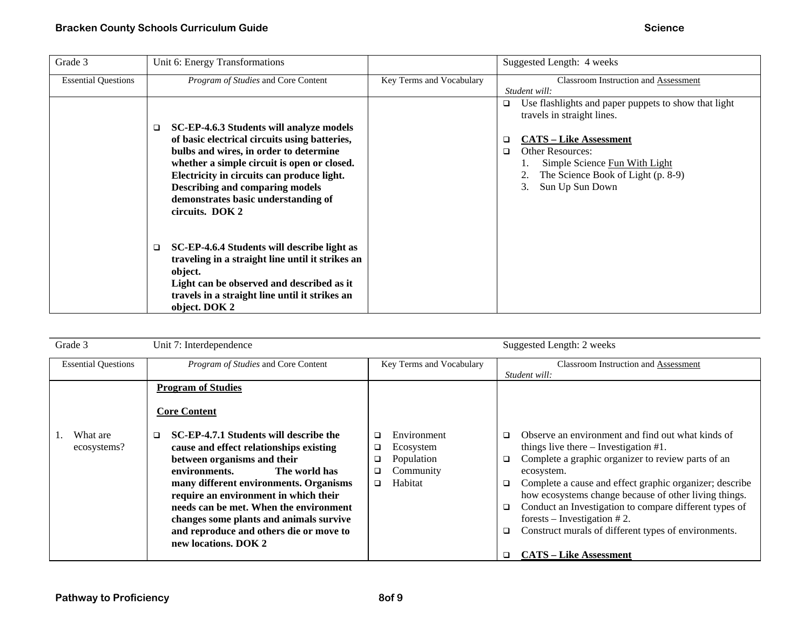| Grade 3                    | Unit 6: Energy Transformations                                                                                                                                                                                                                                                                                                            |                          | Suggested Length: 4 weeks                                                                                                                                                                                                                                               |
|----------------------------|-------------------------------------------------------------------------------------------------------------------------------------------------------------------------------------------------------------------------------------------------------------------------------------------------------------------------------------------|--------------------------|-------------------------------------------------------------------------------------------------------------------------------------------------------------------------------------------------------------------------------------------------------------------------|
| <b>Essential Questions</b> | Program of Studies and Core Content                                                                                                                                                                                                                                                                                                       | Key Terms and Vocabulary | <b>Classroom Instruction and Assessment</b><br>Student will:                                                                                                                                                                                                            |
|                            | SC-EP-4.6.3 Students will analyze models<br>❏<br>of basic electrical circuits using batteries,<br>bulbs and wires, in order to determine<br>whether a simple circuit is open or closed.<br>Electricity in circuits can produce light.<br><b>Describing and comparing models</b><br>demonstrates basic understanding of<br>circuits. DOK 2 |                          | Use flashlights and paper puppets to show that light<br>$\Box$<br>travels in straight lines.<br><b>CATS – Like Assessment</b><br>□<br><b>Other Resources:</b><br>$\Box$<br>Simple Science Fun With Light<br>The Science Book of Light (p. 8-9)<br>Sun Up Sun Down<br>3. |
|                            | SC-EP-4.6.4 Students will describe light as<br>❏<br>traveling in a straight line until it strikes an<br>object.<br>Light can be observed and described as it<br>travels in a straight line until it strikes an<br>object. DOK 2                                                                                                           |                          |                                                                                                                                                                                                                                                                         |

| Grade 3                    | Unit 7: Interdependence                                                                                                                                                                                                                                                                                                                                                                                 |                                                                                         | Suggested Length: 2 weeks                                                                                                                                                                                                                                                                                                                                                                                                                                                                                |
|----------------------------|---------------------------------------------------------------------------------------------------------------------------------------------------------------------------------------------------------------------------------------------------------------------------------------------------------------------------------------------------------------------------------------------------------|-----------------------------------------------------------------------------------------|----------------------------------------------------------------------------------------------------------------------------------------------------------------------------------------------------------------------------------------------------------------------------------------------------------------------------------------------------------------------------------------------------------------------------------------------------------------------------------------------------------|
| <b>Essential Questions</b> | Program of Studies and Core Content                                                                                                                                                                                                                                                                                                                                                                     | Key Terms and Vocabulary                                                                | <b>Classroom Instruction and Assessment</b><br>Student will:                                                                                                                                                                                                                                                                                                                                                                                                                                             |
|                            | <b>Program of Studies</b><br><b>Core Content</b>                                                                                                                                                                                                                                                                                                                                                        |                                                                                         |                                                                                                                                                                                                                                                                                                                                                                                                                                                                                                          |
| What are<br>ecosystems?    | SC-EP-4.7.1 Students will describe the<br>$\Box$<br>cause and effect relationships existing<br>between organisms and their<br>environments.<br>The world has<br>many different environments. Organisms<br>require an environment in which their<br>needs can be met. When the environment<br>changes some plants and animals survive<br>and reproduce and others die or move to<br>new locations. DOK 2 | Environment<br>□<br>Ecosystem<br>❏<br>Population<br>❏<br>Community<br>❏<br>Habitat<br>▫ | Observe an environment and find out what kinds of<br>□<br>things live there $-$ Investigation #1.<br>Complete a graphic organizer to review parts of an<br>❏<br>ecosystem.<br>Complete a cause and effect graphic organizer; describe<br>❏<br>how ecosystems change because of other living things.<br>Conduct an Investigation to compare different types of<br>❏<br>forests – Investigation $# 2$ .<br>Construct murals of different types of environments.<br>❏<br><b>CATS - Like Assessment</b><br>□ |